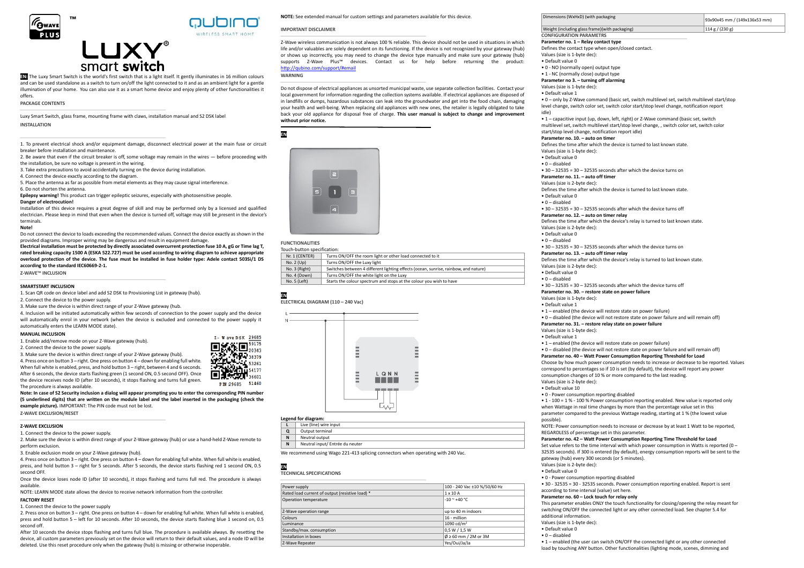



# **EN:** The Luxy Smart Switch is the world's first switch that is a light itself. It gently illuminates in 16 million colours and can be used standalone as a switch to turn on/off the light connected to it and as an ambient light for a gentle illumination of your home. You can also use it as a smart home device and enjoy plenty of other functionalities it offers.

#### **PACKAGE CONTENTS**

Luxy Smart Switch, glass frame, mounting frame with claws, installation manual and S2 DSK label **INSTALLATION**

1. To prevent electrical shock and/or equipment damage, disconnect electrical power at the main fuse or circuit breaker before installation and maintenance.

2. Be aware that even if the circuit breaker is off, some voltage may remain in the wires — before proceeding with the installation, be sure no voltage is present in the wiring.

3. Take extra precautions to avoid accidentally turning on the device during installation.

4. Connect the device exactly according to the diagram.

5. Place the antenna as far as possible from metal elements as they may cause signal interference. 6. Do not shorten the antenna.

**Epilepsy warning!** This product can trigger epileptic seizures, especially with photosensitive people.

### **Danger of electrocution!**

Installation of this device requires a great degree of skill and may be performed only by a licensed and qualified electrician. Please keep in mind that even when the device is turned off, voltage may still be present in the device's terminals.

#### **Note!**

Do not connect the device to loads exceeding the recommended values. Connect the device exactly as shown in the provided diagrams. Improper wiring may be dangerous and result in equipment damage.

**Electrical installation must be protected by directly associated overcurrent protection fuse 10 A, gG or Time lag T, rated breaking capacity 1500 A (ESKA 522.727) must be used according to wiring diagram to achieve appropriate overload protection of the device. The fuse must be installed in fuse holder type: Adele contact 503Si/1 DS according to the standard IEC60669-2-1.** 

**Z-WAVE™ INCLUSION**

## **SMARTSTART INCLUSION**

1. Scan QR code on device label and add S2 DSK to Provisioning List in gateway (hub).

2. Connect the device to the nower supply

3. Make sure the device is within direct range of your Z-Wave gateway (hub.

4. Inclusion will be initiated automatically within few seconds of connection to the power supply and the device will automatically enrol in your network (when the device is excluded and connected to the power supply it automatically enters the LEARN MODE state).

#### **MANUAL INCLUSION**

- 1. Enable add/remove mode on your Z-Wave gateway (hub).
- 2. Connect the device to the power supply.

3. Make sure the device is within direct range of your Z-Wave gateway (hub).

4. Press once on button 3 – right. One press on button 4 – down for enabling full white. When full white is enabled, press, and hold button 3 – right, between 4 and 6 seconds. After 6 seconds, the device starts flashing green (1 second ON, 0.5 second OFF). Once the device receives node ID (after 10 seconds), it stops flashing and turns full green. The procedure is always available.

 $\mathbb{R}$   $\mathbb{H}$   $\overline{\mathbb{D}}_{\scriptscriptstyle{20343}}^{\scriptscriptstyle{59175}}$ ГЕОГОД 120343<br><mark>59 ∵ ГЕОГ</mark>ОД 38379<br>ДЕОГОД 12 года  $1, 53261$ 137000154177 PIN:29685 51460

Z- W ave DSK 29685

**Note: In case of S2 Security inclusion a dialog will appear prompting you to enter the corresponding PIN number (5 underlined digits) that are written on the module label and the label inserted in the packaging (check the example picture).** IMPORTANT: The PIN code must not be lost.

**Z-WAVE EXCLUSION/RESET**

## **Z-WAVE EXCLUSION**

1. Connect the device to the power supply.

2. Make sure the device is within direct range of your Z-Wave gateway (hub) or use a hand-held Z-Wave remote to perform exclusion.

3. Enable exclusion mode on your Z-Wave gateway (hub).

4. Press once on button 3 – right. One press on button 4 – down for enabling full white. When full white is enabled, press, and hold button 3 – right for 5 seconds. After 5 seconds, the device starts flashing red 1 second ON, 0.5 second OFF.

Once the device loses node ID (after 10 seconds), it stops flashing and turns full red. The procedure is always available.

NOTE: LEARN MODE state allows the device to receive network information from the controller.

# **FACTORY RESET**

1. Connect the device to the power supply

2. Press once on button 3 – right. One press on button 4 – down for enabling full white. When full white is enabled, press and hold button 5 – left for 10 seconds. After 10 seconds, the device starts flashing blue 1 second on, 0.5 second off.

After 10 seconds the device stops flashing and turns full blue. The procedure is available always. By resetting the device, all custom parameters previously set on the device will return to their default values, and a node ID will be deleted. Use this reset procedure only when the gateway (hub) is missing or otherwise inoperable.

**NOTE:** See extended manual for custom settings and parameters available for this device.

## **IMPORTANT DISCLAIMER**

Z-Wave wireless communication is not always 100 % reliable. This device should not be used in situations in which life and/or valuables are solely dependent on its functioning. If the device is not recognized by your gateway (hub) or shows up incorrectly, you may need to change the device type manually and make sure your gateway (hub) supports Z-Wave Plus™ devices. Contact us for help before returning the product: <http://qubino.com/support/#email>

**WARNING**

Do not dispose of electrical appliances as unsorted municipal waste, use separate collection facilities. Contact your local government for information regarding the collection systems available. If electrical appliances are disposed of in landfills or dumps, hazardous substances can leak into the groundwater and get into the food chain, damaging your health and well-being. When replacing old appliances with new ones, the retailer is legally obligated to take back your old appliance for disposal free of charge. **This user manual is subject to change and improvement without prior notice.**

**EN** 



# **FUNCTIONALITIES**

Touch-button specification: Nr. 1 (CENTER) Turns ON/OFF the room light or other load connected to it No. 2 (Up) Turns ON/OFF the Luxy light<br>No. 3 (Right) Switches between 4 differen No. 3 (Right) Switches between 4 different lighting effects (ocean, sunrise, rainbow, and nature)<br>No. 4 (Down) Turns ON/OFF the white light on the Luxy No. 4 (Down) Turns ON/OFF the white light on the Luxy<br>No. 5 (Left) Starts the colour spectrum and stops at th Starts the colour spectrum and stops at the colour you wish to have

**EN** 



# **Legend for diagram:**

|   | Live (line) wire input          |
|---|---------------------------------|
|   | Output terminal                 |
| N | Neutral output                  |
| N | Neutral input/ Entrée du neuter |

We recommend using Wago 221-413 splicing connectors when operating with 240 Vac.

**EN TECHNICAL SPECIFICATIONS**

| Power supply                                    | 100 - 240 Vac ±10 %/50/60 Hz       |
|-------------------------------------------------|------------------------------------|
| Rated load current of output (resistive load) * | $1 \times 10$ A                    |
| Operation temperature                           | $-10$ ~ $+40$ °C.                  |
| Z-Wave operation range                          | up to 40 m indoors                 |
| Colours                                         | 16 - million                       |
| Luminance                                       | 1090 cd/m <sup>2</sup>             |
| Standby/max. consumption                        | 0.5 W / 1.5 W                      |
| Installation in boxes                           | $\varnothing \ge 60$ mm / 2M or 3M |
| Z-Wave Repeater                                 | Yes/Oui/Ja/Ja                      |

| Dimensions (WxHxD) (with packaging                                                                 | 93x90x45 mm / (149x136x53 mm) |
|----------------------------------------------------------------------------------------------------|-------------------------------|
| Weight (including glass frame) (with packaging)                                                    | 114 g / (230 g)               |
| <b>CONFIGURATION PARAMETRS</b>                                                                     |                               |
| Parameter no. 1 - Relay contact type                                                               |                               |
| Defines the contact type when open/closed contact.                                                 |                               |
| Values (size is 1-byte dec):                                                                       |                               |
| . Default value 0                                                                                  |                               |
| • 0 - NO (normally open) output type                                                               |                               |
| • 1 - NC (normally close) output type                                                              |                               |
| Parameter no 3. - turning off alarming                                                             |                               |
| Values (size is 1-byte dec):                                                                       |                               |
| . Default value 1                                                                                  |                               |
| • 0 - only by Z-Wave command (basic set, switch multilevel set, switch multilevel start/stop       |                               |
| level change, switch color set, switch color start/stop level change, notification report<br>idle) |                               |
| • 1 – capacitive input (up, down, left, right) or Z-Wave command (basic set, switch                |                               |
| multilevel set, switch multilevel start/stop level change, , switch color set, switch color        |                               |
| start/stop level change, notification report idle)                                                 |                               |
| Parameter no. 10. - auto on timer                                                                  |                               |
| Defines the time after which the device is turned to last known state.                             |                               |
| Values (size is 1-byte dec):                                                                       |                               |

• Default value 0

• 0 – disabled

 $\bullet$  30 – 32535 = 30 – 32535 seconds after which the device turns on **Parameter no. 11. – auto off timer**

### Values (size is 2-byte dec):

Defines the time after which the device is turned to last known state.

• Default value 0

• 0 – disabled

 $\cdot$  30 – 32535 = 30 – 32535 seconds after which the device turns off

#### **Parameter no. 12. – auto on timer relay**

Defines the time after which the device's relay is turned to last known state.

Values (size is 2-byte dec):

• Default value 0

• 0 – disabled

 $\cdot$  30 – 32535 = 30 – 32535 seconds after which the device turns on

# **Parameter no. 13. – auto off timer relay**

Defines the time after which the device's relay is turned to last known state.

Values (size is 2-byte dec): • Default value 0

• 0 – disabled

#### • 30 – 32535 = 30 – 32535 seconds after which the device turns off **Parameter no. 30. – restore state on power failure**

Values (size is 1-byte dec):

• Default value 1

- 1 enabled (the device will restore state on power failure)
- 0 disabled (the device will not restore state on power failure and will remain off)

# **Parameter no. 31. – restore relay state on power failure**

Values (size is 1-byte dec):

• Default value 1

• 1 – enabled (the device will restore state on power failure)

• 0 – disabled (the device will not restore state on power failure and will remain off)

# **Parameter no. 40 – Watt Power Consumption Reporting Threshold for Load**

Choose by how much power consumption needs to increase or decrease to be reported. Values correspond to percentages so if 10 is set (by default), the device will report any power consumption changes of 10 % or more compared to the last reading. Values (size is 2-byte dec):

# • Default value 10

• 0 - Power consumption reporting disabled

• 1 - 100 = 1 % - 100 % Power consumption reporting enabled. New value is reported only when Wattage in real time changes by more than the percentage value set in this parameter compared to the previous Wattage reading, starting at 1 % (the lowest value possible).

NOTE: Power consumption needs to increase or decrease by at least 1 Watt to be reported, REGARDLESS of percentage set in this parameter.

## **Parameter no. 42 – Watt Power Consumption Reporting Time Threshold for Load**

Set value refers to the time interval with which power consumption in Watts is reported  $(0 -$ 32535 seconds). If 300 is entered (by default), energy consumption reports will be sent to the gateway (hub) every 300 seconds (or 5 minutes). Values (size is 2-byte dec):

• Default value 0

additional information. Values (size is 1-byte dec): • Default value 0 • 0 – disabled

• 0 - Power consumption reporting disabled

**Parameter no. 60 – Lock touch for relay only**

• 30 - 32535 = 30 - 32535 seconds. Power consumption reporting enabled. Report is sent according to time interval (value) set here.

• 1 – enabled (the user can switch ON/OFF the connected light or any other connected load by touching ANY button. Other functionalities (lighting mode, scenes, dimming and

This parameter enables ONLY the touch functionality for closing/opening the relay meant for switching ON/OFF the connected light or any other connected load. See chapter 5.4 for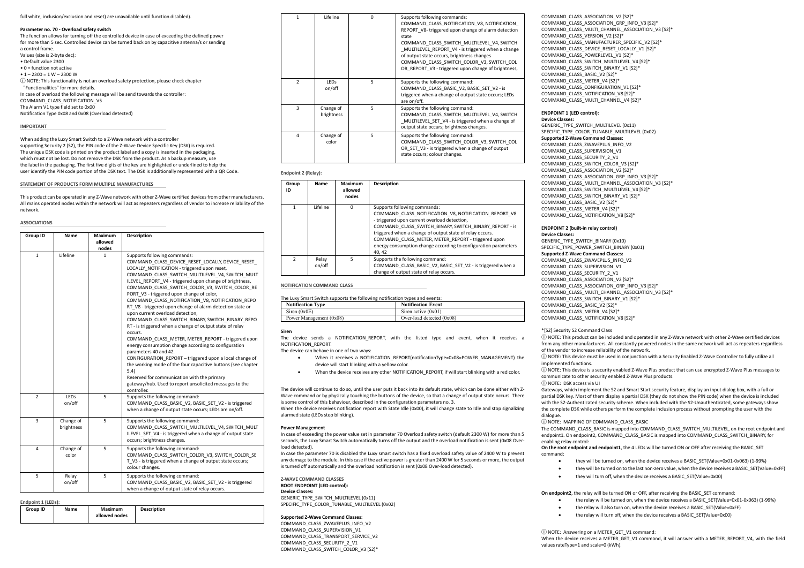### full white, inclusion/exclusion and reset) are unavailable until function disabled).

#### **Parameter no. 70 - Overload safety switch**

The function allows for turning off the controlled device in case of exceeding the defined power for more than 5 sec. Controlled device can be turned back on by capacitive antenna/s or sending a control frame.

- Values (size is 2-byte dec):
- Default value 2300
- 0 = function not active
- $1 2300 = 1 W 2300 W$

ⓘ NOTE: This functionality is not an overload safety protection, please check chapter "Functionalities" for more details. In case of overload the following message will be send towards the controller:

COMMAND\_CLASS\_NOTIFICATION\_V5 The Alarm V1 type field set to 0x00

Notification Type 0x08 and 0x08 (Overload detected)

#### **IMPORTANT**

When adding the Luxy Smart Switch to a Z-Wave network with a controller supporting Security 2 (S2), the PIN code of the Z-Wave Device Specific Key (DSK) is required. The unique DSK code is printed on the product label and a copy is inserted in the packaging, which must not be lost. Do not remove the DSK from the product. As a backup measure, use the label in the packaging. The first five digits of the key are highlighted or underlined to help the user identify the PIN code portion of the DSK text. The DSK is additionally represented with a QR Code.

### **STATEMENT OF PRODUCTS FORM MULTIPLE MANUFACTURES**

This product can be operated in any Z-Wave network with other Z-Wave certified devices from other manufacturers. All mains operated nodes within the network will act as repeaters regardless of vendor to increase reliability of the network.

### **ASSOCIATIONS**

| Group ID       | Name                    | Maximum<br>allowed<br>nodes | <b>Description</b>                                                                                                                                                                                                                                                                                                                                                                                                                                                                                                                                                                                                                                                                                                                                                                                                                                                                                                                                                                                                              |
|----------------|-------------------------|-----------------------------|---------------------------------------------------------------------------------------------------------------------------------------------------------------------------------------------------------------------------------------------------------------------------------------------------------------------------------------------------------------------------------------------------------------------------------------------------------------------------------------------------------------------------------------------------------------------------------------------------------------------------------------------------------------------------------------------------------------------------------------------------------------------------------------------------------------------------------------------------------------------------------------------------------------------------------------------------------------------------------------------------------------------------------|
| $\mathbf{1}$   | Lifeline                | 1                           | Supports following commands:<br>COMMAND CLASS DEVICE RESET LOCALLY, DEVICE RESET<br>LOCALLY NOTIFICATION - triggered upon reset,<br>COMMAND CLASS SWITCH MULTILEVEL V4, SWITCH MULT<br>ILEVEL REPORT V4 - triggered upon change of brightness,<br>COMMAND CLASS SWITCH COLOR V3, SWITCH COLOR RE<br>PORT V3 - triggered upon change of color,<br>COMMAND CLASS NOTIFICATION V8, NOTIFICATION REPO<br>RT V8 - triggered upon change of alarm detection state or<br>upon current overload detection,<br>COMMAND CLASS SWITCH BINARY, SWITCH BINARY REPO<br>RT - is triggered when a change of output state of relay<br>occurs.<br>COMMAND CLASS METER, METER REPORT - triggered upon<br>energy consumption change according to configuration<br>parameters 40 and 42.<br>CONFIGURATION_REPORT - triggered upon a local change of<br>the working mode of the four capacitive buttons (see chapter<br>5.4)<br>Reserved for communication with the primary<br>gateway/hub. Used to report unsolicited messages to the<br>controller. |
| $\overline{2}$ | <b>LEDS</b><br>on/off   | 5                           | Supports the following command:<br>COMMAND CLASS BASIC V2, BASIC SET V2 - is triggered<br>when a change of output state occurs; LEDs are on/off.                                                                                                                                                                                                                                                                                                                                                                                                                                                                                                                                                                                                                                                                                                                                                                                                                                                                                |
| 3              | Change of<br>brightness | 5                           | Supports the following command:<br>COMMAND CLASS SWITCH MULTILEVEL V4, SWITCH MULT<br>ILEVEL SET V4 - is triggered when a change of output state<br>occurs; brightness changes.                                                                                                                                                                                                                                                                                                                                                                                                                                                                                                                                                                                                                                                                                                                                                                                                                                                 |
| 4              | Change of<br>color      | 5                           | Supports the following command:<br>COMMAND CLASS SWITCH COLOR V3, SWITCH COLOR SE<br>T V3 - is triggered when a change of output state occurs;<br>colour changes.                                                                                                                                                                                                                                                                                                                                                                                                                                                                                                                                                                                                                                                                                                                                                                                                                                                               |
| 5              | Relay<br>on/off         | 5                           | Supports the following command:<br>COMMAND_CLASS_BASIC_V2, BASIC_SET_V2 - is triggered<br>when a change of output state of relay occurs.                                                                                                                                                                                                                                                                                                                                                                                                                                                                                                                                                                                                                                                                                                                                                                                                                                                                                        |

| Endpoint 1 (LEDs): |  |
|--------------------|--|
|--------------------|--|

| <b>Group ID</b><br>Maximum<br>Name<br>allowed nodes | <b>Description</b> |
|-----------------------------------------------------|--------------------|
|-----------------------------------------------------|--------------------|

| 1              | Lifeline                | $\Omega$ | Supports following commands:<br>COMMAND CLASS NOTIFICATION V8, NOTIFICATION<br>REPORT_V8-triggered upon change of alarm detection<br>state<br>COMMAND CLASS SWITCH MULTILEVEL V4, SWITCH<br>MULTILEVEL REPORT V4 - is triggered when a change<br>of output state occurs, brightness changes<br>COMMAND CLASS SWITCH COLOR V3, SWITCH COL<br>OR REPORT V3 - triggered upon change of brightness, |
|----------------|-------------------------|----------|-------------------------------------------------------------------------------------------------------------------------------------------------------------------------------------------------------------------------------------------------------------------------------------------------------------------------------------------------------------------------------------------------|
| $\overline{ }$ | <b>LEDs</b><br>on/off   | 5        | Supports the following command:<br>COMMAND CLASS BASIC V2, BASIC SET V2 - is<br>triggered when a change of output state occurs; LEDs<br>are on/off.                                                                                                                                                                                                                                             |
| 3              | Change of<br>brightness | 5        | Supports the following command:<br>COMMAND CLASS SWITCH MULTILEVEL V4, SWITCH<br>MULTILEVEL SET V4 - is triggered when a change of<br>output state occurs; brightness changes.                                                                                                                                                                                                                  |
| 4              | Change of<br>color      | 5        | Supports the following command:<br>COMMAND CLASS SWITCH COLOR V3, SWITCH COL<br>OR SET V3 - is triggered when a change of output<br>state occurs; colour changes.                                                                                                                                                                                                                               |

#### **Endpoint 2 (Relay):**

| Group<br>ID   | Name            | Maximum<br>allowed<br>nodes | <b>Description</b>                                                                                                                                                                                                                                                                                                                                                                            |
|---------------|-----------------|-----------------------------|-----------------------------------------------------------------------------------------------------------------------------------------------------------------------------------------------------------------------------------------------------------------------------------------------------------------------------------------------------------------------------------------------|
|               | Lifeline        | n                           | Supports following commands:<br>COMMAND CLASS NOTIFICATION V8, NOTIFICATION REPORT V8<br>- triggered upon current overload detection,<br>COMMAND CLASS SWITCH BINARY, SWITCH BINARY REPORT - is<br>triggered when a change of output state of relay occurs.<br>COMMAND CLASS METER, METER REPORT - triggered upon<br>energy consumption change according to configuration parameters<br>40.42 |
| $\mathcal{P}$ | Relav<br>on/off |                             | Supports the following command:<br>COMMAND CLASS BASIC V2, BASIC SET V2 - is triggered when a<br>change of output state of relay occurs.                                                                                                                                                                                                                                                      |

#### **NOTIFICATION COMMAND CLASS**

| The Luxy Smart Switch supports the following notification types and events: |  |
|-----------------------------------------------------------------------------|--|
|-----------------------------------------------------------------------------|--|

| <b>Notification Type</b> | <b>Notification Event</b>   |
|--------------------------|-----------------------------|
| Siren $(0x0E)$           | Siren active $(0x01)$       |
| Power Management (0x08)  | Over-load detected $(0x08)$ |

#### **Siren**

The device sends a NOTIFICATION\_REPORT, with the listed type and event, when it receives a NOTIFICATION\_REPORT.

## The device can behave in one of two ways:

- When it receives a NOTIFICATION\_REPORT(notificationType=0x08=POWER\_MANAGEMENT) the device will start blinking with a yellow color.
- When the device receives any other NOTIFICATION\_REPORT, if will start blinking with a red color.

The device will continue to do so, until the user puts it back into its default state, which can be done either with Z-Wave command or by physically touching the buttons of the device, so that a change of output state occurs. There is some control of this behaviour, described in the configuration parameters no. 3.

When the device receives notification report with State Idle (0x00), it will change state to Idle and stop signalizing alarmed state (LEDs stop blinking).

#### **Power Management**

In case of exceeding the power value set in parameter 70 Overload safety switch (default 2300 W) for more than 5 seconds, the Luxy Smart Switch automatically turns off the output and the overload notification is sent (0x08 Overload detected).

In case the parameter 70 is disabled the Luxy smart switch has a fixed overload safety value of 2400 W to prevent any damage to the module. In this case if the active power is greater than 2400 W for 5 seconds or more, the output is turned off automatically and the overload notification is sent (0x08 Over-load detected).

### **Z-WAVE COMMAND CLASSES ROOT ENDPOINT (LED control): Device Classes:** GENERIC\_TYPE\_SWITCH\_MULTILEVEL (0x11) SPECIFIC\_TYPE\_COLOR\_TUNABLE\_MULTILEVEL (0x02)

## **Supported Z-Wave Command Classes:**

COMMAND\_CLASS\_ZWAVEPLUS\_INFO\_V2 COMMAND\_CLASS\_SUPERVISION\_V1 COMMAND\_CLASS\_TRANSPORT\_SERVICE\_V2 COMMAND\_CLASS\_SECURITY\_2\_V1 COMMAND\_CLASS\_SWITCH\_COLOR\_V3 [S2]\*

COMMAND\_CLASS\_ASSOCIATION\_V2 [S2]\* COMMAND\_CLASS\_ASSOCIATION\_GRP\_INFO\_V3 [S2]\* COMMAND\_CLASS\_MULTI\_CHANNEL\_ASSOCIATION\_V3 [S2]\* COMMAND\_CLASS\_VERSION\_V2 [S2]\* COMMAND\_CLASS\_MANUFACTURER\_SPECIFIC\_V2 [S2]\* COMMAND\_CLASS\_DEVICE\_RESET\_LOCALLY\_V1 [S2]\* COMMAND\_CLASS\_POWERLEVEL\_V1 [S2]\* COMMAND\_CLASS\_SWITCH\_MULTILEVEL\_V4 [S2]\* COMMAND\_CLASS\_SWITCH\_BINARY\_V1 [S2]\* COMMAND\_CLASS\_BASIC\_V2 [S2]\* COMMAND\_CLASS\_METER\_V4 [S2]\* COMMAND\_CLASS\_CONFIGURATION\_V1 [S2]\* COMMAND\_CLASS\_NOTIFICATION\_V8 [S2]\* COMMAND\_CLASS\_MULTI\_CHANNEL\_V4 [S2]\*

# **ENDPOINT 1 (LED control):**

**Device Classes:** GENERIC\_TYPE\_SWITCH\_MULTILEVEL (0x11) SPECIFIC\_TYPE\_COLOR\_TUNABLE\_MULTILEVEL (0x02) **Supported Z-Wave Command Classes:**

COMMAND\_CLASS\_ZWAVEPLUS\_INFO\_V2 COMMAND\_CLASS\_SUPERVISION\_V1 COMMAND\_CLASS\_SECURITY\_2\_V1 COMMAND\_CLASS\_SWITCH\_COLOR\_V3 [S2]\* COMMAND\_CLASS\_ASSOCIATION\_V2 [S2]\* COMMAND\_CLASS\_ASSOCIATION\_GRP\_INFO\_V3 [S2]\* COMMAND\_CLASS\_MULTI\_CHANNEL\_ASSOCIATION\_V3 [S2]\* COMMAND\_CLASS\_SWITCH\_MULTILEVEL\_V4 [S2]\* COMMAND\_CLASS\_SWITCH\_BINARY\_V1 [S2]\* COMMAND\_CLASS\_BASIC\_V2 [S2]\* COMMAND\_CLASS\_METER\_V4 [S2]\* COMMAND\_CLASS\_NOTIFICATION\_V8 [S2]\*

## **ENDPOINT 2 (built-in relay control)**

**Device Classes:** GENERIC\_TYPE\_SWITCH\_BINARY (0x10) SPECIFIC\_TYPE\_POWER\_SWITCH\_BINARY (0x01) **Supported Z-Wave Command Classes:** COMMAND\_CLASS\_ZWAVEPLUS\_INFO\_V2 COMMAND\_CLASS\_SUPERVISION\_V1 COMMAND\_CLASS\_SECURITY\_2\_V1 COMMAND\_CLASS\_ASSOCIATION\_V2 [S2]\* COMMAND\_CLASS\_ASSOCIATION\_GRP\_INFO\_V3 [S2]\* COMMAND\_CLASS\_MULTI\_CHANNEL\_ASSOCIATION\_V3 [S2]\* COMMAND\_CLASS\_SWITCH\_BINARY\_V1 [S2]\* COMMAND\_CLASS\_BASIC\_V2 [S2]\* COMMAND\_CLASS\_METER\_V4 [S2]\* COMMAND\_CLASS\_NOTIFICATION\_V8 [S2]\*

### \*[S2] Security S2 Command Class

ⓘ NOTE: This product can be included and operated in any Z-Wave network with other Z-Wave certified devices from any other manufacturers. All constantly powered nodes in the same network will act as repeaters regardless of the vendor to increase reliability of the network.

ⓘ NOTE: This device must be used in conjunction with a Security Enabled Z-Wave Controller to fully utilize all implemented functions.

ⓘ NOTE: This device is a security enabled Z-Wave Plus product that can use encrypted Z-Wave Plus messages to communicate to other security enabled Z-Wave Plus products.

#### ⓘ NOTE: DSK access via UI

Gateways, which implement the S2 and Smart Start security feature, display an input dialog box, with a full or partial DSK key. Most of them display a partial DSK (they do not show the PIN code) when the device is included with the S2-Authenticated security scheme. When included with the S2-Unauthenticated, some gateways show the complete DSK while others perform the complete inclusion process without prompting the user with the dialogue.

## ⓘ NOTE: MAPPING OF COMMAND\_CLASS\_BASIC

The COMMAND\_CLASS\_BASIC is mapped into COMMAND\_CLASS\_SWITCH\_MULTILEVEL, on the root endpoint and endpoint1. On endpoint2, COMMAND\_CLASS\_BASIC is mapped into COMMAND\_CLASS\_SWITCH\_BINARY, for enabling relay control:

#### **On the root endpoint and endpoint1**, the 4 LEDs will be turned ON or OFF after receiving the BASIC\_SET command:

• they will be turned on, when the device receives a BASIC\_SET(Value=0x01-0x063) (1-99%)

- they will be turned on to the last non-zero value, when the device receives a BASIC\_SET(Value=0xFF)
- they will turn off, when the device receives a BASIC\_SET(Value=0x00)

### **On endpoint2**, the relay will be turned ON or OFF, after receiving the BASIC\_SET command:

- the relay will be turned on, when the device receives a BASIC\_SET(Value=0x01-0x063) (1-99%)
- the relay will also turn on, when the device receives a BASIC\_SET(Value=0xFF)
- the relay will turn off, when the device receives a BASIC\_SET(Value=0x00)

ⓘ NOTE: Answering on a METER\_GET\_V1 command: When the device receives a METER\_GET\_V1 command, it will answer with a METER\_REPORT\_V4, with the field values rateType=1 and scale=0 (kWh).